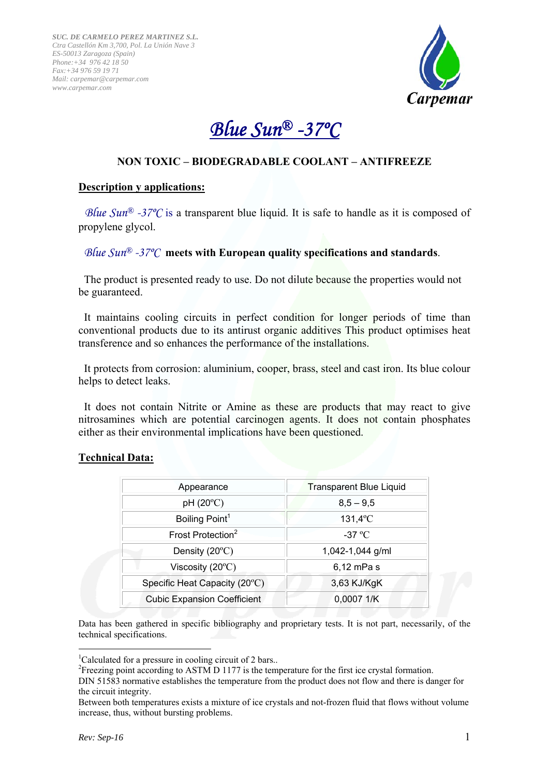

# *Blue Sun® -37ºC*

## **NON TOXIC – BIODEGRADABLE COOLANT – ANTIFREEZE**

## **Description y applications:**

*Blue Sun<sup>®</sup> -37<sup>o</sup>C* is a transparent blue liquid. It is safe to handle as it is composed of propylene glycol.

## *Blue Sun® -37ºC* **meets with European quality specifications and standards**.

 The product is presented ready to use. Do not dilute because the properties would not be guaranteed.

 It maintains cooling circuits in perfect condition for longer periods of time than conventional products due to its antirust organic additives This product optimises heat transference and so enhances the performance of the installations.

 It protects from corrosion: aluminium, cooper, brass, steel and cast iron. Its blue colour helps to detect leaks.

 It does not contain Nitrite or Amine as these are products that may react to give nitrosamines which are potential carcinogen agents. It does not contain phosphates either as their environmental implications have been questioned.

| Appearance                         | <b>Transparent Blue Liquid</b> |  |  |
|------------------------------------|--------------------------------|--|--|
| $pH (20^{\circ}C)$                 | $8,5 - 9,5$                    |  |  |
| Boiling Point <sup>1</sup>         | $131,4$ <sup>o</sup> C         |  |  |
| Frost Protection <sup>2</sup>      | -37 $\rm{°C}$                  |  |  |
| Density $(20^{\circ}C)$            | 1,042-1,044 g/ml               |  |  |
| Viscosity $(20^{\circ}C)$          | 6,12 mPa s                     |  |  |
| Specific Heat Capacity (20°C)      | 3,63 KJ/KgK                    |  |  |
| <b>Cubic Expansion Coefficient</b> | 0,0007 1/K                     |  |  |
|                                    |                                |  |  |

## **Technical Data:**

Data has been gathered in specific bibliography and proprietary tests. It is not part, necessarily, of the technical specifications.

1

<sup>&</sup>lt;sup>1</sup>Calculated for a pressure in cooling circuit of 2 bars..

<sup>&</sup>lt;sup>2</sup> Freezing point according to ASTM D 1177 is the temperature for the first ice crystal formation.

DIN 51583 normative establishes the temperature from the product does not flow and there is danger for the circuit integrity.

Between both temperatures exists a mixture of ice crystals and not-frozen fluid that flows without volume increase, thus, without bursting problems.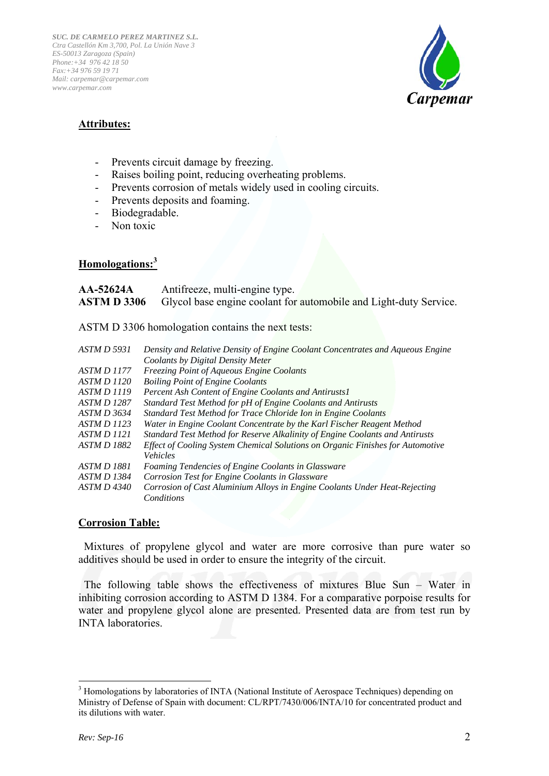

## **Attributes:**

- Prevents circuit damage by freezing.
- Raises boiling point, reducing overheating problems.
- Prevents corrosion of metals widely used in cooling circuits.
- Prevents deposits and foaming.
- Biodegradable.
- Non toxic

## **Homologations:<sup>3</sup>**

**AA-52624A** Antifreeze, multi-engine type. **ASTM D 3306** Glycol base engine coolant for automobile and Light-duty Service.

ASTM D 3306 homologation contains the next tests:

| <b>ASTM D 5931</b> | Density and Relative Density of Engine Coolant Concentrates and Aqueous Engine |
|--------------------|--------------------------------------------------------------------------------|
|                    | Coolants by Digital Density Meter                                              |
| <b>ASTM D 1177</b> | <b>Freezing Point of Aqueous Engine Coolants</b>                               |
| <b>ASTM D 1120</b> | <b>Boiling Point of Engine Coolants</b>                                        |
| <b>ASTM D 1119</b> | Percent Ash Content of Engine Coolants and Antirusts 1                         |
| <b>ASTM D 1287</b> | Standard Test Method for pH of Engine Coolants and Antirusts                   |
| ASTM D 3634        | Standard Test Method for Trace Chloride Ion in Engine Coolants                 |
| <i>ASTM D 1123</i> | Water in Engine Coolant Concentrate by the Karl Fischer Reagent Method         |
| <i>ASTM D 1121</i> | Standard Test Method for Reserve Alkalinity of Engine Coolants and Antirusts   |
| <b>ASTM D 1882</b> | Effect of Cooling System Chemical Solutions on Organic Finishes for Automotive |
|                    | <i>Vehicles</i>                                                                |
| <i>ASTM D 1881</i> | Foaming Tendencies of Engine Coolants in Glassware                             |
| <b>ASTM D 1384</b> | Corrosion Test for Engine Coolants in Glassware                                |
| ASTM D 4340        | Corrosion of Cast Aluminium Alloys in Engine Coolants Under Heat-Rejecting     |
|                    | Conditions                                                                     |
|                    |                                                                                |

## **Corrosion Table:**

 Mixtures of propylene glycol and water are more corrosive than pure water so additives should be used in order to ensure the integrity of the circuit.

 The following table shows the effectiveness of mixtures Blue Sun – Water in inhibiting corrosion according to ASTM D 1384. For a comparative porpoise results for water and propylene glycol alone are presented. Presented data are from test run by INTA laboratories.

<sup>1</sup> <sup>3</sup> Homologations by laboratories of INTA (National Institute of Aerospace Techniques) depending on Ministry of Defense of Spain with document: CL/RPT/7430/006/INTA/10 for concentrated product and its dilutions with water.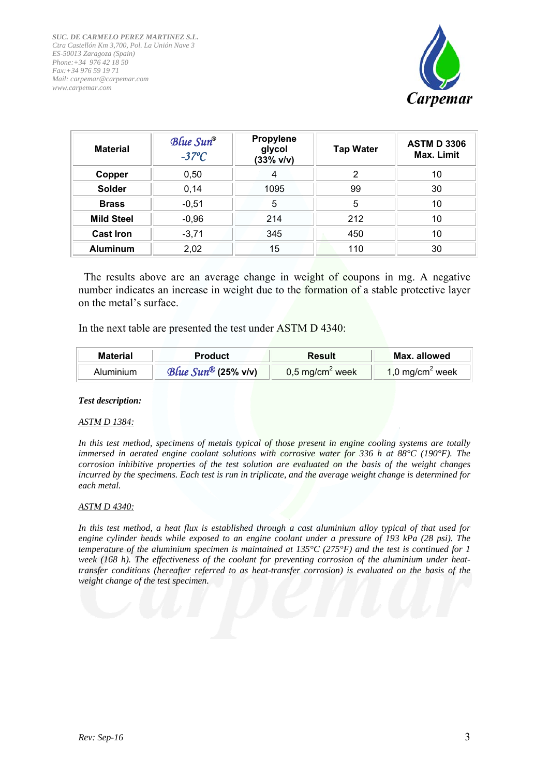

| <b>Material</b>   | Blue Sun®<br>$-37^{\circ}C$ | Propylene<br>glycol<br>(33% v/v) | <b>Tap Water</b> | <b>ASTM D 3306</b><br>Max. Limit |  |
|-------------------|-----------------------------|----------------------------------|------------------|----------------------------------|--|
| Copper            | 0,50                        | 4                                | 2                | 10                               |  |
| <b>Solder</b>     | 0,14                        | 1095                             | 99               | 30                               |  |
| <b>Brass</b>      | $-0,51$                     | 5                                | 5                | 10                               |  |
| <b>Mild Steel</b> | $-0,96$                     | 214                              | 212              | 10                               |  |
| <b>Cast Iron</b>  | $-3,71$                     | 345                              | 450              | 10                               |  |
| <b>Aluminum</b>   | 2,02                        | 15                               | 110              | 30                               |  |

 The results above are an average change in weight of coupons in mg. A negative number indicates an increase in weight due to the formation of a stable protective layer on the metal's surface.

In the next table are presented the test under ASTM D 4340:

| <b>Material</b> | <b>Product</b>                   | Result                      | Max. allowed                |
|-----------------|----------------------------------|-----------------------------|-----------------------------|
| Aluminium       | Blue $Sun^{\circledR}$ (25% v/v) | 0,5 mg/cm <sup>2</sup> week | 1,0 mg/cm <sup>2</sup> week |

*Test description:* 

### *ASTM D 1384:*

*In this test method, specimens of metals typical of those present in engine cooling systems are totally immersed in aerated engine coolant solutions with corrosive water for 336 h at 88°C (190°F). The corrosion inhibitive properties of the test solution are evaluated on the basis of the weight changes incurred by the specimens. Each test is run in triplicate, and the average weight change is determined for each metal.* 

### *ASTM D 4340:*

*In this test method, a heat flux is established through a cast aluminium alloy typical of that used for engine cylinder heads while exposed to an engine coolant under a pressure of 193 kPa (28 psi). The temperature of the aluminium specimen is maintained at 135°C (275°F) and the test is continued for 1 week (168 h). The effectiveness of the coolant for preventing corrosion of the aluminium under heattransfer conditions (hereafter referred to as heat-transfer corrosion) is evaluated on the basis of the weight change of the test specimen.*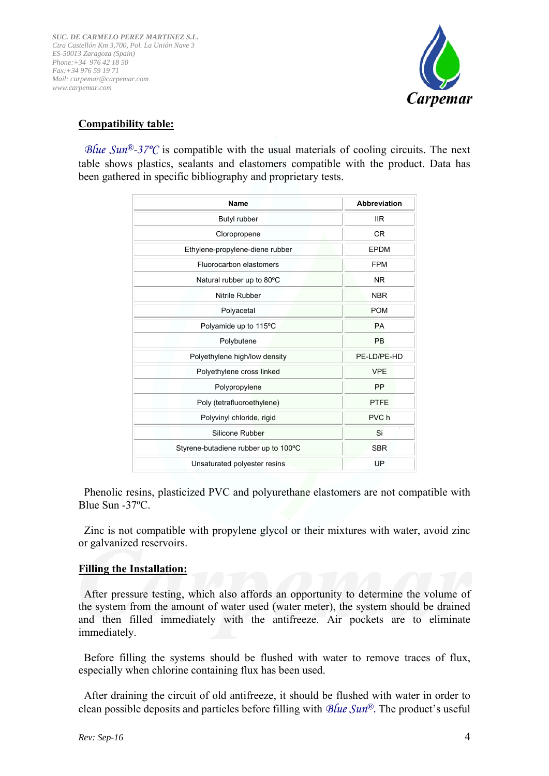

## **Compatibility table:**

*Blue Sun<sup>®</sup>-37°C* is compatible with the usual materials of cooling circuits. The next table shows plastics, sealants and elastomers compatible with the product. Data has been gathered in specific bibliography and proprietary tests.

| <b>Name</b>                          | <b>Abbreviation</b> |
|--------------------------------------|---------------------|
| Butyl rubber                         | <b>IIR</b>          |
| Cloropropene                         | <b>CR</b>           |
| Ethylene-propylene-diene rubber      | <b>EPDM</b>         |
| Fluorocarbon elastomers              | <b>FPM</b>          |
| Natural rubber up to 80°C            | <b>NR</b>           |
| Nitrile Rubber                       | <b>NBR</b>          |
| Polyacetal                           | <b>POM</b>          |
| Polyamide up to 115°C                | <b>PA</b>           |
| Polybutene                           | <b>PB</b>           |
| Polyethylene high/low density        | PE-LD/PE-HD         |
| Polyethylene cross linked            | <b>VPE</b>          |
| Polypropylene                        | <b>PP</b>           |
| Poly (tetrafluoroethylene)           | <b>PTFE</b>         |
| Polyvinyl chloride, rigid            | PVC h               |
| Silicone Rubber                      | Si                  |
| Styrene-butadiene rubber up to 100°C | <b>SBR</b>          |
| Unsaturated polyester resins         | UP                  |

 Phenolic resins, plasticized PVC and polyurethane elastomers are not compatible with Blue Sun -37ºC.

 Zinc is not compatible with propylene glycol or their mixtures with water, avoid zinc or galvanized reservoirs.

## **Filling the Installation:**

 After pressure testing, which also affords an opportunity to determine the volume of the system from the amount of water used (water meter), the system should be drained and then filled immediately with the antifreeze. Air pockets are to eliminate immediately.

 Before filling the systems should be flushed with water to remove traces of flux, especially when chlorine containing flux has been used.

 After draining the circuit of old antifreeze, it should be flushed with water in order to clean possible deposits and particles before filling with *Blue Sun®.* The product's useful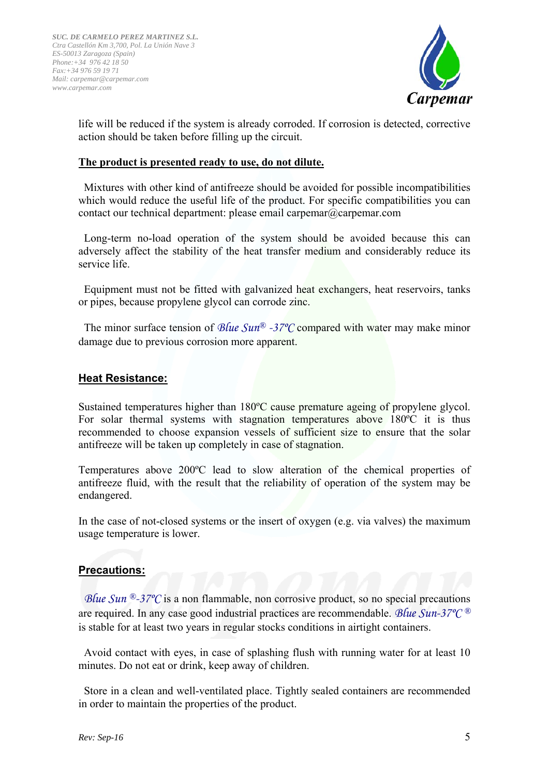

life will be reduced if the system is already corroded. If corrosion is detected, corrective action should be taken before filling up the circuit.

## **The product is presented ready to use, do not dilute.**

 Mixtures with other kind of antifreeze should be avoided for possible incompatibilities which would reduce the useful life of the product. For specific compatibilities you can contact our technical department: please email carpemar@carpemar.com

 Long-term no-load operation of the system should be avoided because this can adversely affect the stability of the heat transfer medium and considerably reduce its service life.

 Equipment must not be fitted with galvanized heat exchangers, heat reservoirs, tanks or pipes, because propylene glycol can corrode zinc.

 The minor surface tension of *Blue Sun® -37ºC* compared with water may make minor damage due to previous corrosion more apparent.

## **Heat Resistance:**

Sustained temperatures higher than 180ºC cause premature ageing of propylene glycol. For solar thermal systems with stagnation temperatures above 180ºC it is thus recommended to choose expansion vessels of sufficient size to ensure that the solar antifreeze will be taken up completely in case of stagnation.

Temperatures above 200ºC lead to slow alteration of the chemical properties of antifreeze fluid, with the result that the reliability of operation of the system may be endangered.

In the case of not-closed systems or the insert of oxygen (e.g. via valves) the maximum usage temperature is lower.

## **Precautions:**

*Blue Sun* <sup>®</sup>-37<sup>*o*</sup>C is a non flammable, non corrosive product, so no special precautions are required. In any case good industrial practices are recommendable. *Blue Sun-37ºC ®* is stable for at least two years in regular stocks conditions in airtight containers.

 Avoid contact with eyes, in case of splashing flush with running water for at least 10 minutes. Do not eat or drink, keep away of children.

 Store in a clean and well-ventilated place. Tightly sealed containers are recommended in order to maintain the properties of the product.